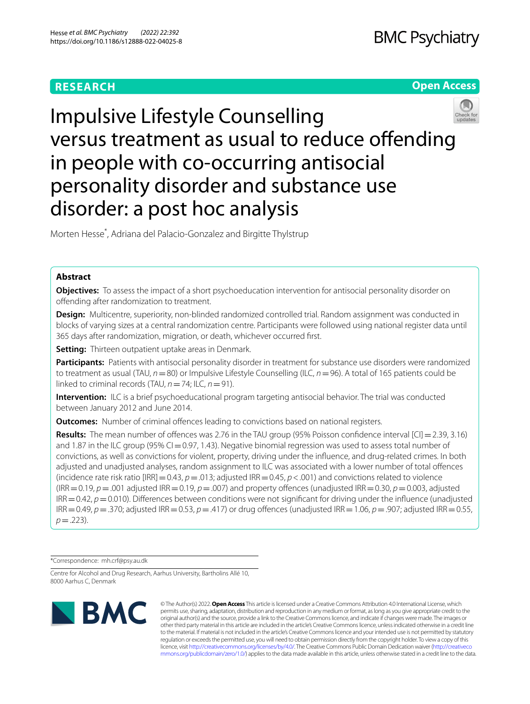# **RESEARCH**

# **Open Access**



# Impulsive Lifestyle Counselling versus treatment as usual to reduce ofending in people with co-occurring antisocial personality disorder and substance use disorder: a post hoc analysis

Morten Hesse\* , Adriana del Palacio‑Gonzalez and Birgitte Thylstrup

# **Abstract**

**Objectives:** To assess the impact of a short psychoeducation intervention for antisocial personality disorder on ofending after randomization to treatment.

**Design:** Multicentre, superiority, non-blinded randomized controlled trial. Random assignment was conducted in blocks of varying sizes at a central randomization centre. Participants were followed using national register data until 365 days after randomization, migration, or death, whichever occurred frst.

**Setting:** Thirteen outpatient uptake areas in Denmark.

**Participants:** Patients with antisocial personality disorder in treatment for substance use disorders were randomized to treatment as usual (TAU, *n*=80) or Impulsive Lifestyle Counselling (ILC, *n*=96). A total of 165 patients could be linked to criminal records (TAU,  $n = 74$ ; ILC,  $n = 91$ ).

**Intervention:** ILC is a brief psychoeducational program targeting antisocial behavior. The trial was conducted between January 2012 and June 2014.

**Outcomes:** Number of criminal offences leading to convictions based on national registers.

**Results:** The mean number of offences was 2.76 in the TAU group (95% Poisson confidence interval [CI] = 2.39, 3.16) and 1.87 in the ILC group (95%  $Cl = 0.97$ , 1.43). Negative binomial regression was used to assess total number of convictions, as well as convictions for violent, property, driving under the infuence, and drug-related crimes. In both adjusted and unadjusted analyses, random assignment to ILC was associated with a lower number of total ofences (incidence rate risk ratio [IRR] = 0.43,  $p$  = .013; adjusted IRR = 0.45,  $p$  < .001) and convictions related to violence (IRR=0.19, *p*=.001 adjusted IRR=0.19, *p*=.007) and property ofences (unadjusted IRR=0.30, *p*=0.003, adjusted IRR=0.42, *p*=0.010). Diferences between conditions were not signifcant for driving under the infuence (unadjusted IRR=0.49, *p*=.370; adjusted IRR=0.53, *p*=.417) or drug ofences (unadjusted IRR=1.06, *p*=.907; adjusted IRR=0.55,  $p = .223$ ).

\*Correspondence: mh.crf@psy.au.dk

Centre for Alcohol and Drug Research, Aarhus University, Bartholins Allé 10, 8000 Aarhus C, Denmark



© The Author(s) 2022. **Open Access** This article is licensed under a Creative Commons Attribution 4.0 International License, which permits use, sharing, adaptation, distribution and reproduction in any medium or format, as long as you give appropriate credit to the original author(s) and the source, provide a link to the Creative Commons licence, and indicate if changes were made. The images or other third party material in this article are included in the article's Creative Commons licence, unless indicated otherwise in a credit line to the material. If material is not included in the article's Creative Commons licence and your intended use is not permitted by statutory regulation or exceeds the permitted use, you will need to obtain permission directly from the copyright holder. To view a copy of this licence, visit [http://creativecommons.org/licenses/by/4.0/.](http://creativecommons.org/licenses/by/4.0/) The Creative Commons Public Domain Dedication waiver ([http://creativeco](http://creativecommons.org/publicdomain/zero/1.0/) [mmons.org/publicdomain/zero/1.0/](http://creativecommons.org/publicdomain/zero/1.0/)) applies to the data made available in this article, unless otherwise stated in a credit line to the data.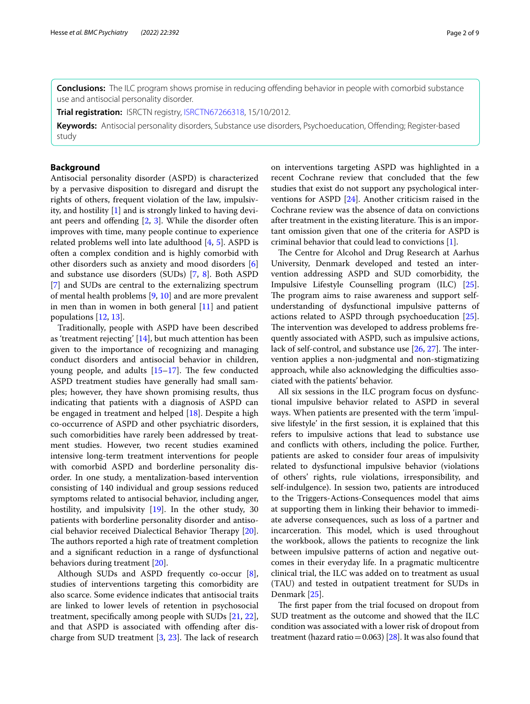**Conclusions:** The ILC program shows promise in reducing offending behavior in people with comorbid substance use and antisocial personality disorder.

**Trial registration:** ISRCTN registry, [ISRCTN67266318,](https://doi.org/10.1186/ISRCTN67266318) 15/10/2012.

**Keywords:** Antisocial personality disorders, Substance use disorders, Psychoeducation, Ofending; Register-based study

## **Background**

Antisocial personality disorder (ASPD) is characterized by a pervasive disposition to disregard and disrupt the rights of others, frequent violation of the law, impulsivity, and hostility [\[1\]](#page-7-0) and is strongly linked to having deviant peers and ofending [[2](#page-7-1), [3\]](#page-7-2). While the disorder often improves with time, many people continue to experience related problems well into late adulthood [\[4,](#page-7-3) [5\]](#page-7-4). ASPD is often a complex condition and is highly comorbid with other disorders such as anxiety and mood disorders [\[6](#page-7-5)] and substance use disorders (SUDs) [\[7](#page-7-6), [8](#page-7-7)]. Both ASPD [[7\]](#page-7-6) and SUDs are central to the externalizing spectrum of mental health problems [\[9](#page-7-8), [10\]](#page-7-9) and are more prevalent in men than in women in both general [[11\]](#page-7-10) and patient populations [[12](#page-7-11), [13\]](#page-7-12).

Traditionally, people with ASPD have been described as 'treatment rejecting' [[14\]](#page-7-13), but much attention has been given to the importance of recognizing and managing conduct disorders and antisocial behavior in children, young people, and adults  $[15-17]$  $[15-17]$  $[15-17]$ . The few conducted ASPD treatment studies have generally had small samples; however, they have shown promising results, thus indicating that patients with a diagnosis of ASPD can be engaged in treatment and helped [[18](#page-7-16)]. Despite a high co-occurrence of ASPD and other psychiatric disorders, such comorbidities have rarely been addressed by treatment studies. However, two recent studies examined intensive long-term treatment interventions for people with comorbid ASPD and borderline personality disorder. In one study, a mentalization-based intervention consisting of 140 individual and group sessions reduced symptoms related to antisocial behavior, including anger, hostility, and impulsivity [\[19](#page-7-17)]. In the other study, 30 patients with borderline personality disorder and antiso-cial behavior received Dialectical Behavior Therapy [\[20](#page-7-18)]. The authors reported a high rate of treatment completion and a signifcant reduction in a range of dysfunctional behaviors during treatment [[20\]](#page-7-18).

Although SUDs and ASPD frequently co-occur [\[8](#page-7-7)], studies of interventions targeting this comorbidity are also scarce. Some evidence indicates that antisocial traits are linked to lower levels of retention in psychosocial treatment, specifcally among people with SUDs [[21](#page-7-19), [22](#page-7-20)], and that ASPD is associated with offending after discharge from SUD treatment  $[3, 23]$  $[3, 23]$  $[3, 23]$  $[3, 23]$ . The lack of research on interventions targeting ASPD was highlighted in a recent Cochrane review that concluded that the few studies that exist do not support any psychological interventions for ASPD [[24\]](#page-7-22). Another criticism raised in the Cochrane review was the absence of data on convictions after treatment in the existing literature. This is an important omission given that one of the criteria for ASPD is criminal behavior that could lead to convictions [[1\]](#page-7-0).

The Centre for Alcohol and Drug Research at Aarhus University, Denmark developed and tested an intervention addressing ASPD and SUD comorbidity, the Impulsive Lifestyle Counselling program (ILC) [\[25](#page-8-0)]. The program aims to raise awareness and support selfunderstanding of dysfunctional impulsive patterns of actions related to ASPD through psychoeducation [\[25](#page-8-0)]. The intervention was developed to address problems frequently associated with ASPD, such as impulsive actions, lack of self-control, and substance use  $[26, 27]$  $[26, 27]$  $[26, 27]$  $[26, 27]$  $[26, 27]$ . The intervention applies a non-judgmental and non-stigmatizing approach, while also acknowledging the difficulties associated with the patients' behavior.

All six sessions in the ILC program focus on dysfunctional impulsive behavior related to ASPD in several ways. When patients are presented with the term 'impulsive lifestyle' in the frst session, it is explained that this refers to impulsive actions that lead to substance use and conficts with others, including the police. Further, patients are asked to consider four areas of impulsivity related to dysfunctional impulsive behavior (violations of others' rights, rule violations, irresponsibility, and self-indulgence). In session two, patients are introduced to the Triggers-Actions-Consequences model that aims at supporting them in linking their behavior to immediate adverse consequences, such as loss of a partner and incarceration. This model, which is used throughout the workbook, allows the patients to recognize the link between impulsive patterns of action and negative outcomes in their everyday life. In a pragmatic multicentre clinical trial, the ILC was added on to treatment as usual (TAU) and tested in outpatient treatment for SUDs in Denmark [[25\]](#page-8-0).

The first paper from the trial focused on dropout from SUD treatment as the outcome and showed that the ILC condition was associated with a lower risk of dropout from treatment (hazard ratio =  $0.063$ ) [\[28\]](#page-8-3). It was also found that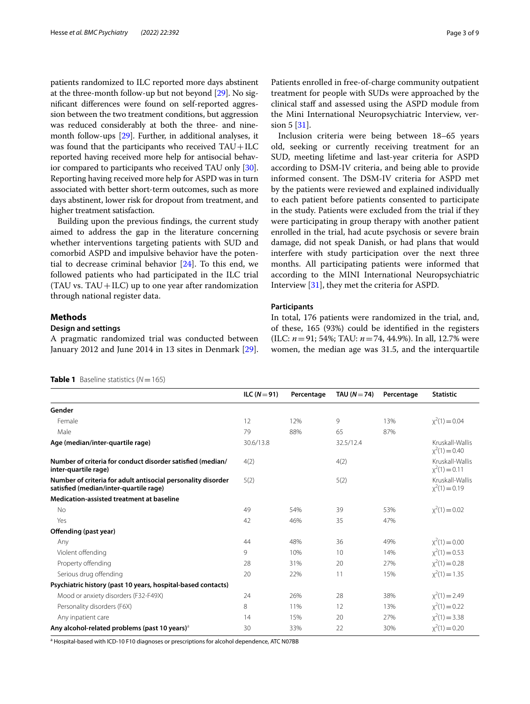patients randomized to ILC reported more days abstinent at the three-month follow-up but not beyond [[29\]](#page-8-4). No signifcant diferences were found on self-reported aggression between the two treatment conditions, but aggression was reduced considerably at both the three- and ninemonth follow-ups [[29](#page-8-4)]. Further, in additional analyses, it was found that the participants who received  $TAU+ILC$ reported having received more help for antisocial behavior compared to participants who received TAU only [[30](#page-8-5)]. Reporting having received more help for ASPD was in turn associated with better short-term outcomes, such as more days abstinent, lower risk for dropout from treatment, and higher treatment satisfaction.

Building upon the previous fndings, the current study aimed to address the gap in the literature concerning whether interventions targeting patients with SUD and comorbid ASPD and impulsive behavior have the potential to decrease criminal behavior [\[24](#page-7-22)]. To this end, we followed patients who had participated in the ILC trial  $(TAU vs. TAU + ILC)$  up to one year after randomization through national register data.

# **Methods**

# **Design and settings**

A pragmatic randomized trial was conducted between January 2012 and June 2014 in 13 sites in Denmark [\[29](#page-8-4)].

Patients enrolled in free-of-charge community outpatient treatment for people with SUDs were approached by the clinical staf and assessed using the ASPD module from the Mini International Neuropsychiatric Interview, version 5 [\[31](#page-8-6)].

Inclusion criteria were being between 18–65 years old, seeking or currently receiving treatment for an SUD, meeting lifetime and last-year criteria for ASPD according to DSM-IV criteria, and being able to provide informed consent. The DSM-IV criteria for ASPD met by the patients were reviewed and explained individually to each patient before patients consented to participate in the study. Patients were excluded from the trial if they were participating in group therapy with another patient enrolled in the trial, had acute psychosis or severe brain damage, did not speak Danish, or had plans that would interfere with study participation over the next three months. All participating patients were informed that according to the MINI International Neuropsychiatric Interview [\[31](#page-8-6)], they met the criteria for ASPD.

# **Participants**

In total, 176 patients were randomized in the trial, and, of these, 165 (93%) could be identifed in the registers (ILC: *n*=91; 54%; TAU: *n*=74, 44.9%). In all, 12.7% were women, the median age was 31.5, and the interquartile

<span id="page-2-0"></span>

| <b>Table 1</b> Baseline statistics $(N = 165)$ |  |
|------------------------------------------------|--|
|                                                |  |

|                                                                                                        | ILC $(N=91)$ | Percentage | TAU $(N=74)$ | Percentage | <b>Statistic</b>                   |
|--------------------------------------------------------------------------------------------------------|--------------|------------|--------------|------------|------------------------------------|
| Gender                                                                                                 |              |            |              |            |                                    |
| Female                                                                                                 | 12           | 12%        | 9            | 13%        | $x^2(1) = 0.04$                    |
| Male                                                                                                   | 79           | 88%        | 65           | 87%        |                                    |
| Age (median/inter-quartile rage)                                                                       | 30.6/13.8    |            | 32.5/12.4    |            | Kruskall-Wallis<br>$x^2(1) = 0.40$ |
| Number of criteria for conduct disorder satisfied (median/<br>inter-quartile rage)                     | 4(2)         |            | 4(2)         |            | Kruskall-Wallis<br>$x^2(1) = 0.11$ |
| Number of criteria for adult antisocial personality disorder<br>satisfied (median/inter-quartile rage) | 5(2)         |            | 5(2)         |            | Kruskall-Wallis<br>$x^2(1) = 0.19$ |
| Medication-assisted treatment at baseline                                                              |              |            |              |            |                                    |
| <b>No</b>                                                                                              | 49           | 54%        | 39           | 53%        | $x^2(1) = 0.02$                    |
| Yes                                                                                                    | 42           | 46%        | 35           | 47%        |                                    |
| Offending (past year)                                                                                  |              |            |              |            |                                    |
| Any                                                                                                    | 44           | 48%        | 36           | 49%        | $x^2(1) = 0.00$                    |
| Violent offending                                                                                      | 9            | 10%        | 10           | 14%        | $x^2(1) = 0.53$                    |
| Property offending                                                                                     | 28           | 31%        | 20           | 27%        | $x^2(1) = 0.28$                    |
| Serious drug offending                                                                                 | 20           | 22%        | 11           | 15%        | $x^2(1) = 1.35$                    |
| Psychiatric history (past 10 years, hospital-based contacts)                                           |              |            |              |            |                                    |
| Mood or anxiety disorders (F32-F49X)                                                                   | 24           | 26%        | 28           | 38%        | $x^2(1) = 2.49$                    |
| Personality disorders (F6X)                                                                            | 8            | 11%        | 12           | 13%        | $x^2(1) = 0.22$                    |
| Any inpatient care                                                                                     | 14           | 15%        | 20           | 27%        | $x^2(1) = 3.38$                    |
| Any alcohol-related problems (past 10 years) <sup>a</sup>                                              | 30           | 33%        | 22           | 30%        | $x^2(1) = 0.20$                    |

<sup>a</sup> Hospital-based with ICD-10 F10 diagnoses or prescriptions for alcohol dependence, ATC N07BB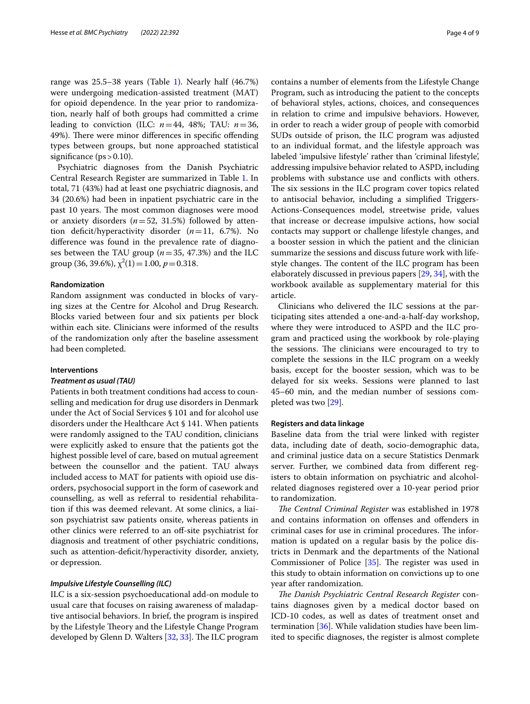range was  $25.5-38$  years (Table [1\)](#page-2-0). Nearly half  $(46.7%)$ were undergoing medication-assisted treatment (MAT) for opioid dependence. In the year prior to randomization, nearly half of both groups had committed a crime leading to conviction (ILC:  $n=44$ , 48%; TAU:  $n=36$ , 49%). There were minor differences in specific offending types between groups, but none approached statistical significance  $(ps > 0.10)$ .

Psychiatric diagnoses from the Danish Psychiatric Central Research Register are summarized in Table [1.](#page-2-0) In total, 71 (43%) had at least one psychiatric diagnosis, and 34 (20.6%) had been in inpatient psychiatric care in the past 10 years. The most common diagnoses were mood or anxiety disorders (*n*=52, 31.5%) followed by attention deficit/hyperactivity disorder  $(n=11, 6.7\%)$ . No diference was found in the prevalence rate of diagnoses between the TAU group (*n*=35, 47.3%) and the ILC group (36, 39.6%),  $\chi^2(1) = 1.00, p = 0.318$ .

# **Randomization**

Random assignment was conducted in blocks of varying sizes at the Centre for Alcohol and Drug Research. Blocks varied between four and six patients per block within each site. Clinicians were informed of the results of the randomization only after the baseline assessment had been completed.

#### **Interventions**

#### *Treatment as usual (TAU)*

Patients in both treatment conditions had access to counselling and medication for drug use disorders in Denmark under the Act of Social Services § 101 and for alcohol use disorders under the Healthcare Act § 141. When patients were randomly assigned to the TAU condition, clinicians were explicitly asked to ensure that the patients got the highest possible level of care, based on mutual agreement between the counsellor and the patient. TAU always included access to MAT for patients with opioid use disorders, psychosocial support in the form of casework and counselling, as well as referral to residential rehabilitation if this was deemed relevant. At some clinics, a liaison psychiatrist saw patients onsite, whereas patients in other clinics were referred to an off-site psychiatrist for diagnosis and treatment of other psychiatric conditions, such as attention-deficit/hyperactivity disorder, anxiety, or depression.

# *Impulsive Lifestyle Counselling (ILC)*

ILC is a six-session psychoeducational add-on module to usual care that focuses on raising awareness of maladaptive antisocial behaviors. In brief, the program is inspired by the Lifestyle Theory and the Lifestyle Change Program developed by Glenn D. Walters  $[32, 33]$  $[32, 33]$  $[32, 33]$ . The ILC program contains a number of elements from the Lifestyle Change Program, such as introducing the patient to the concepts of behavioral styles, actions, choices, and consequences in relation to crime and impulsive behaviors. However, in order to reach a wider group of people with comorbid SUDs outside of prison, the ILC program was adjusted to an individual format, and the lifestyle approach was labeled 'impulsive lifestyle' rather than 'criminal lifestyle', addressing impulsive behavior related to ASPD, including problems with substance use and conficts with others. The six sessions in the ILC program cover topics related to antisocial behavior, including a simplifed Triggers-Actions-Consequences model, streetwise pride, values that increase or decrease impulsive actions, how social contacts may support or challenge lifestyle changes, and a booster session in which the patient and the clinician summarize the sessions and discuss future work with lifestyle changes. The content of the ILC program has been elaborately discussed in previous papers [\[29](#page-8-4), [34](#page-8-9)], with the workbook available as supplementary material for this article.

Clinicians who delivered the ILC sessions at the participating sites attended a one-and-a-half-day workshop, where they were introduced to ASPD and the ILC program and practiced using the workbook by role-playing the sessions. The clinicians were encouraged to try to complete the sessions in the ILC program on a weekly basis, except for the booster session, which was to be delayed for six weeks. Sessions were planned to last 45–60 min, and the median number of sessions completed was two [[29\]](#page-8-4).

#### **Registers and data linkage**

Baseline data from the trial were linked with register data, including date of death, socio-demographic data, and criminal justice data on a secure Statistics Denmark server. Further, we combined data from diferent registers to obtain information on psychiatric and alcoholrelated diagnoses registered over a 10-year period prior to randomization.

The Central Criminal Register was established in 1978 and contains information on ofenses and ofenders in criminal cases for use in criminal procedures. The information is updated on a regular basis by the police districts in Denmark and the departments of the National Commissioner of Police  $[35]$  $[35]$ . The register was used in this study to obtain information on convictions up to one year after randomization.

The Danish Psychiatric Central Research Register contains diagnoses given by a medical doctor based on ICD-10 codes, as well as dates of treatment onset and termination [\[36\]](#page-8-11). While validation studies have been limited to specifc diagnoses, the register is almost complete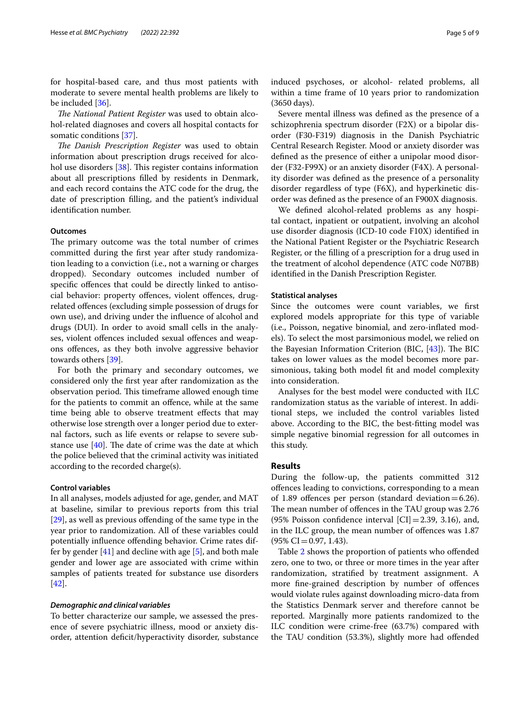for hospital-based care, and thus most patients with moderate to severe mental health problems are likely to be included [[36\]](#page-8-11).

*The National Patient Register* was used to obtain alcohol-related diagnoses and covers all hospital contacts for somatic conditions [[37](#page-8-12)].

The Danish Prescription Register was used to obtain information about prescription drugs received for alcohol use disorders  $[38]$  $[38]$ . This register contains information about all prescriptions flled by residents in Denmark, and each record contains the ATC code for the drug, the date of prescription flling, and the patient's individual identifcation number.

## **Outcomes**

The primary outcome was the total number of crimes committed during the frst year after study randomization leading to a conviction (i.e., not a warning or charges dropped). Secondary outcomes included number of specifc ofences that could be directly linked to antisocial behavior: property offences, violent offences, drugrelated ofences (excluding simple possession of drugs for own use), and driving under the infuence of alcohol and drugs (DUI). In order to avoid small cells in the analyses, violent ofences included sexual ofences and weapons ofences, as they both involve aggressive behavior towards others [[39\]](#page-8-14).

For both the primary and secondary outcomes, we considered only the frst year after randomization as the observation period. This timeframe allowed enough time for the patients to commit an ofence, while at the same time being able to observe treatment effects that may otherwise lose strength over a longer period due to external factors, such as life events or relapse to severe substance use  $[40]$  $[40]$ . The date of crime was the date at which the police believed that the criminal activity was initiated according to the recorded charge(s).

#### **Control variables**

In all analyses, models adjusted for age, gender, and MAT at baseline, similar to previous reports from this trial [[29\]](#page-8-4), as well as previous offending of the same type in the year prior to randomization. All of these variables could potentially infuence ofending behavior. Crime rates differ by gender  $[41]$  $[41]$  $[41]$  and decline with age  $[5]$  $[5]$ , and both male gender and lower age are associated with crime within samples of patients treated for substance use disorders [[42\]](#page-8-17).

#### *Demographic and clinical variables*

To better characterize our sample, we assessed the presence of severe psychiatric illness, mood or anxiety disorder, attention defcit/hyperactivity disorder, substance induced psychoses, or alcohol- related problems, all within a time frame of 10 years prior to randomization (3650 days).

Severe mental illness was defned as the presence of a schizophrenia spectrum disorder (F2X) or a bipolar disorder (F30-F319) diagnosis in the Danish Psychiatric Central Research Register. Mood or anxiety disorder was defned as the presence of either a unipolar mood disorder (F32-F99X) or an anxiety disorder (F4X). A personality disorder was defned as the presence of a personality disorder regardless of type (F6X), and hyperkinetic disorder was defned as the presence of an F900X diagnosis.

We defned alcohol-related problems as any hospital contact, inpatient or outpatient, involving an alcohol use disorder diagnosis (ICD-10 code F10X) identifed in the National Patient Register or the Psychiatric Research Register, or the flling of a prescription for a drug used in the treatment of alcohol dependence (ATC code N07BB) identifed in the Danish Prescription Register.

## **Statistical analyses**

Since the outcomes were count variables, we frst explored models appropriate for this type of variable (i.e., Poisson, negative binomial, and zero-infated models). To select the most parsimonious model, we relied on the Bayesian Information Criterion (BIC,  $[43]$  $[43]$ ). The BIC takes on lower values as the model becomes more parsimonious, taking both model fit and model complexity into consideration.

Analyses for the best model were conducted with ILC randomization status as the variable of interest. In additional steps, we included the control variables listed above. According to the BIC, the best-ftting model was simple negative binomial regression for all outcomes in this study.

## **Results**

During the follow-up, the patients committed 312 ofences leading to convictions, corresponding to a mean of 1.89 offences per person (standard deviation=6.26). The mean number of offences in the TAU group was 2.76 (95% Poisson confidence interval  $\text{[CI]} = 2.39, 3.16$ ), and, in the ILC group, the mean number of ofences was 1.87  $(95\% \text{ CI} = 0.97, 1.43).$ 

Table [2](#page-5-0) shows the proportion of patients who ofended zero, one to two, or three or more times in the year after randomization, stratifed by treatment assignment. A more fne-grained description by number of ofences would violate rules against downloading micro-data from the Statistics Denmark server and therefore cannot be reported. Marginally more patients randomized to the ILC condition were crime-free (63.7%) compared with the TAU condition (53.3%), slightly more had ofended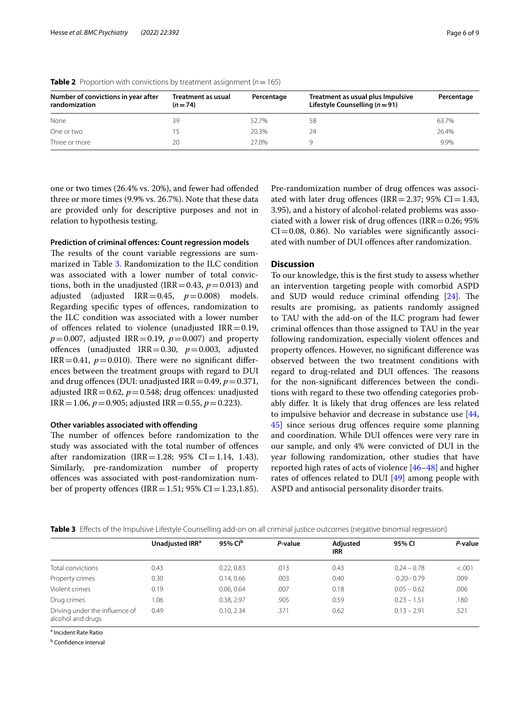| Number of convictions in year after<br>randomization | Treatment as usual<br>$(n=74)$ | Percentage | Treatment as usual plus Impulsive<br>Lifestyle Counselling ( $n = 91$ ) | Percentage |  |
|------------------------------------------------------|--------------------------------|------------|-------------------------------------------------------------------------|------------|--|
| None                                                 | 39                             | 52.7%      | 58                                                                      | 63.7%      |  |
| One or two                                           | 15                             | 20.3%      | 24                                                                      | 26.4%      |  |
| Three or more                                        | 20                             | 27.0%      |                                                                         | 9.9%       |  |

<span id="page-5-0"></span>**Table 2** Proportion with convictions by treatment assignment ( $n = 165$ )

one or two times (26.4% vs. 20%), and fewer had ofended three or more times (9.9% vs. 26.7%). Note that these data are provided only for descriptive purposes and not in relation to hypothesis testing.

# **Prediction of criminal ofences: Count regression models**

The results of the count variable regressions are summarized in Table [3](#page-5-1). Randomization to the ILC condition was associated with a lower number of total convictions, both in the unadjusted (IRR = 0.43,  $p = 0.013$ ) and adjusted (adjusted IRR=0.45, *p*=0.008) models. Regarding specifc types of ofences, randomization to the ILC condition was associated with a lower number of offences related to violence (unadjusted  $IRR = 0.19$ ,  $p = 0.007$ , adjusted IRR = 0.19,  $p = 0.007$ ) and property ofences (unadjusted IRR=0.30, *p*=0.003, adjusted IRR=0.41,  $p=0.010$ ). There were no significant differences between the treatment groups with regard to DUI and drug offences (DUI: unadjusted IRR =  $0.49$ ,  $p = 0.371$ , adjusted IRR =  $0.62$ ,  $p = 0.548$ ; drug offences: unadjusted IRR = 1.06,  $p = 0.905$ ; adjusted IRR = 0.55,  $p = 0.223$ ).

# **Other variables associated with ofending**

The number of offences before randomization to the study was associated with the total number of ofences after randomization (IRR=1.28; 95% CI=1.14, 1.43). Similarly, pre-randomization number of property ofences was associated with post-randomization number of property offences (IRR = 1.51; 95% CI = 1.23,1.85). Pre-randomization number of drug ofences was associated with later drug offences (IRR=2.37; 95% CI=1.43, 3.95), and a history of alcohol-related problems was associated with a lower risk of drug offences (IRR =  $0.26$ ; 95%  $CI = 0.08$ , 0.86). No variables were significantly associated with number of DUI ofences after randomization.

# **Discussion**

To our knowledge, this is the frst study to assess whether an intervention targeting people with comorbid ASPD and SUD would reduce criminal offending  $[24]$  $[24]$ . The results are promising, as patients randomly assigned to TAU with the add-on of the ILC program had fewer criminal ofences than those assigned to TAU in the year following randomization, especially violent offences and property offences. However, no significant difference was observed between the two treatment conditions with regard to drug-related and DUI offences. The reasons for the non-signifcant diferences between the conditions with regard to these two ofending categories probably difer. It is likely that drug ofences are less related to impulsive behavior and decrease in substance use [[44](#page-8-19), [45\]](#page-8-20) since serious drug ofences require some planning and coordination. While DUI ofences were very rare in our sample, and only 4% were convicted of DUI in the year following randomization, other studies that have reported high rates of acts of violence [[46](#page-8-21)[–48](#page-8-22)] and higher rates of ofences related to DUI [\[49](#page-8-23)] among people with ASPD and antisocial personality disorder traits.

<span id="page-5-1"></span>

|  | <b>Table 3</b> Effects of the Impulsive Lifestyle Counselling add-on on all criminal justice outcomes (negative binomial regression) |  |  |
|--|--------------------------------------------------------------------------------------------------------------------------------------|--|--|
|  |                                                                                                                                      |  |  |
|  |                                                                                                                                      |  |  |

|                                                     | Unadjusted IRR <sup>a</sup> | 95% Cl <sup>b</sup> | P-value | Adiusted<br><b>IRR</b> | 95% CI        | P-value |
|-----------------------------------------------------|-----------------------------|---------------------|---------|------------------------|---------------|---------|
| Total convictions                                   | 0.43                        | 0.22, 0.83          | .013    | 0.43                   | $0.24 - 0.78$ | < .001  |
| Property crimes                                     | 0.30                        | 0.14.0.66           | .003    | 0.40                   | $0.20 - 0.79$ | .009    |
| Violent crimes                                      | 0.19                        | 0.06, 0.64          | .007    | 0.18                   | $0.05 - 0.62$ | .006    |
| Drug crimes                                         | 1.06                        | 0.38, 2.97          | .905    | 0.59                   | $0.23 - 1.51$ | .180    |
| Driving under the influence of<br>alcohol and drugs | 0.49                        | 0.10, 2.34          | .371    | 0.62                   | $0.13 - 2.91$ | .521    |

a Incident Rate Ratio

<sup>b</sup> Confidence interval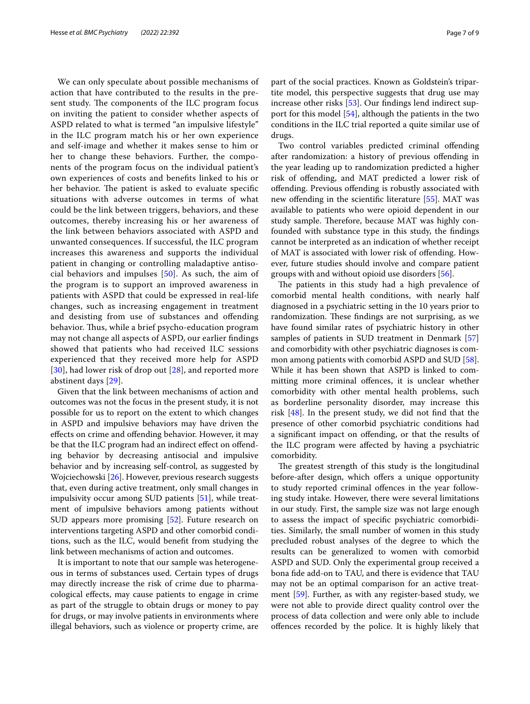We can only speculate about possible mechanisms of action that have contributed to the results in the present study. The components of the ILC program focus on inviting the patient to consider whether aspects of ASPD related to what is termed "an impulsive lifestyle" in the ILC program match his or her own experience and self-image and whether it makes sense to him or her to change these behaviors. Further, the components of the program focus on the individual patient's own experiences of costs and benefts linked to his or her behavior. The patient is asked to evaluate specific situations with adverse outcomes in terms of what could be the link between triggers, behaviors, and these outcomes, thereby increasing his or her awareness of the link between behaviors associated with ASPD and unwanted consequences. If successful, the ILC program increases this awareness and supports the individual patient in changing or controlling maladaptive antisocial behaviors and impulses [\[50](#page-8-24)]. As such, the aim of the program is to support an improved awareness in patients with ASPD that could be expressed in real-life changes, such as increasing engagement in treatment and desisting from use of substances and ofending behavior. Thus, while a brief psycho-education program may not change all aspects of ASPD, our earlier fndings showed that patients who had received ILC sessions experienced that they received more help for ASPD [[30](#page-8-5)], had lower risk of drop out [\[28](#page-8-3)], and reported more abstinent days [[29\]](#page-8-4).

Given that the link between mechanisms of action and outcomes was not the focus in the present study, it is not possible for us to report on the extent to which changes in ASPD and impulsive behaviors may have driven the efects on crime and ofending behavior. However, it may be that the ILC program had an indirect efect on ofending behavior by decreasing antisocial and impulsive behavior and by increasing self-control, as suggested by Wojciechowski [\[26\]](#page-8-1). However, previous research suggests that, even during active treatment, only small changes in impulsivity occur among SUD patients [[51](#page-8-25)], while treatment of impulsive behaviors among patients without SUD appears more promising [[52\]](#page-8-26). Future research on interventions targeting ASPD and other comorbid conditions, such as the ILC, would beneft from studying the link between mechanisms of action and outcomes.

It is important to note that our sample was heterogeneous in terms of substances used. Certain types of drugs may directly increase the risk of crime due to pharmacological efects, may cause patients to engage in crime as part of the struggle to obtain drugs or money to pay for drugs, or may involve patients in environments where illegal behaviors, such as violence or property crime, are part of the social practices. Known as Goldstein's tripartite model, this perspective suggests that drug use may increase other risks [\[53](#page-8-27)]. Our findings lend indirect support for this model [[54\]](#page-8-28), although the patients in the two conditions in the ILC trial reported a quite similar use of drugs.

Two control variables predicted criminal offending after randomization: a history of previous ofending in the year leading up to randomization predicted a higher risk of ofending, and MAT predicted a lower risk of ofending. Previous ofending is robustly associated with new offending in the scientific literature [[55\]](#page-8-29). MAT was available to patients who were opioid dependent in our study sample. Therefore, because MAT was highly confounded with substance type in this study, the fndings cannot be interpreted as an indication of whether receipt of MAT is associated with lower risk of ofending. However, future studies should involve and compare patient groups with and without opioid use disorders [\[56](#page-8-30)].

The patients in this study had a high prevalence of comorbid mental health conditions, with nearly half diagnosed in a psychiatric setting in the 10 years prior to randomization. These findings are not surprising, as we have found similar rates of psychiatric history in other samples of patients in SUD treatment in Denmark [[57](#page-8-31)] and comorbidity with other psychiatric diagnoses is common among patients with comorbid ASPD and SUD [\[58](#page-8-32)]. While it has been shown that ASPD is linked to committing more criminal ofences, it is unclear whether comorbidity with other mental health problems, such as borderline personality disorder, may increase this risk  $[48]$  $[48]$ . In the present study, we did not find that the presence of other comorbid psychiatric conditions had a signifcant impact on ofending, or that the results of the ILC program were afected by having a psychiatric comorbidity.

The greatest strength of this study is the longitudinal before-after design, which offers a unique opportunity to study reported criminal ofences in the year following study intake. However, there were several limitations in our study. First, the sample size was not large enough to assess the impact of specifc psychiatric comorbidities. Similarly, the small number of women in this study precluded robust analyses of the degree to which the results can be generalized to women with comorbid ASPD and SUD. Only the experimental group received a bona fde add-on to TAU, and there is evidence that TAU may not be an optimal comparison for an active treatment [[59\]](#page-8-33). Further, as with any register-based study, we were not able to provide direct quality control over the process of data collection and were only able to include ofences recorded by the police. It is highly likely that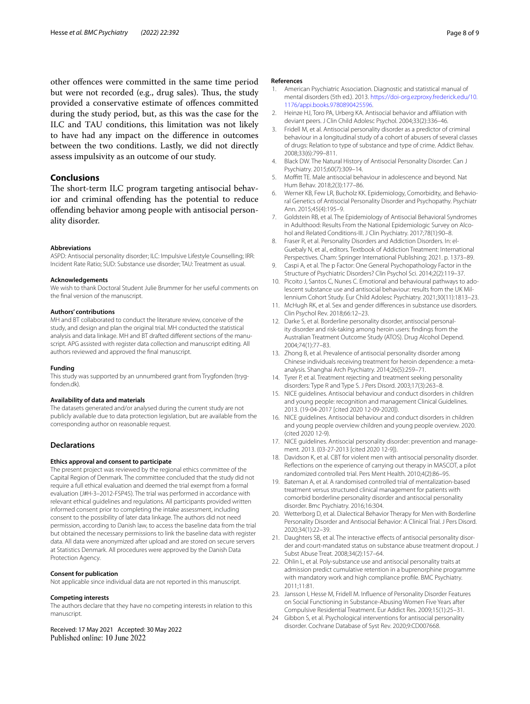other offences were committed in the same time period but were not recorded (e.g., drug sales). Thus, the study provided a conservative estimate of ofences committed during the study period, but, as this was the case for the ILC and TAU conditions, this limitation was not likely to have had any impact on the diference in outcomes between the two conditions. Lastly, we did not directly assess impulsivity as an outcome of our study.

# **Conclusions**

The short-term ILC program targeting antisocial behavior and criminal offending has the potential to reduce ofending behavior among people with antisocial personality disorder.

#### **Abbreviations**

ASPD: Antisocial personality disorder; ILC: Impulsive Lifestyle Counselling; IRR: Incident Rate Ratio; SUD: Substance use disorder; TAU: Treatment as usual.

#### **Acknowledgements**

We wish to thank Doctoral Student Julie Brummer for her useful comments on the fnal version of the manuscript.

#### **Authors' contributions**

MH and BT collaborated to conduct the literature review, conceive of the study, and design and plan the original trial. MH conducted the statistical analysis and data linkage. MH and BT drafted different sections of the manuscript. APG assisted with register data collection and manuscript editing. All authors reviewed and approved the fnal manuscript.

#### **Funding**

This study was supported by an unnumbered grant from Trygfonden (tryg‑ fonden.dk).

#### **Availability of data and materials**

The datasets generated and/or analysed during the current study are not publicly available due to data protection legislation, but are available from the corresponding author on reasonable request.

#### **Declarations**

#### **Ethics approval and consent to participate**

The present project was reviewed by the regional ethics committee of the Capital Region of Denmark. The committee concluded that the study did not require a full ethical evaluation and deemed the trial exempt from a formal evaluation (J#H-3–2012-FSP45). The trial was performed in accordance with relevant ethical guidelines and regulations. All participants provided written informed consent prior to completing the intake assessment, including consent to the possibility of later data linkage. The authors did not need permission, according to Danish law, to access the baseline data from the trial but obtained the necessary permissions to link the baseline data with register data. All data were anonymized after upload and are stored on secure servers at Statistics Denmark. All procedures were approved by the Danish Data Protection Agency.

#### **Consent for publication**

Not applicable since individual data are not reported in this manuscript.

#### **Competing interests**

The authors declare that they have no competing interests in relation to this manuscript.

Received: 17 May 2021 Accepted: 30 May 2022 Published online: 10 June 2022

#### **References**

- <span id="page-7-0"></span>1. American Psychiatric Association. Diagnostic and statistical manual of mental disorders (5th ed.). 2013. [https://doi-org.ezproxy.frederick.edu/10.](https://doi-org.ezproxy.frederick.edu/10.1176/appi.books.9780890425596) [1176/appi.books.9780890425596](https://doi-org.ezproxy.frederick.edu/10.1176/appi.books.9780890425596).
- <span id="page-7-1"></span>2. Heinze HJ, Toro PA, Urberg KA. Antisocial behavior and afliation with deviant peers. J Clin Child Adolesc Psychol. 2004;33(2):336–46.
- <span id="page-7-2"></span>3. Fridell M, et al. Antisocial personality disorder as a predictor of criminal behaviour in a longitudinal study of a cohort of abusers of several classes of drugs: Relation to type of substance and type of crime. Addict Behav. 2008;33(6):799–811.
- <span id="page-7-3"></span>4. Black DW. The Natural History of Antisocial Personality Disorder. Can J Psychiatry. 2015;60(7):309–14.
- <span id="page-7-4"></span>5. Moffitt TE. Male antisocial behaviour in adolescence and beyond. Nat Hum Behav. 2018;2(3):177–86.
- <span id="page-7-5"></span>6. Werner KB, Few LR, Bucholz KK. Epidemiology, Comorbidity, and Behavioral Genetics of Antisocial Personality Disorder and Psychopathy. Psychiatr Ann. 2015;45(4):195–9.
- <span id="page-7-6"></span>7. Goldstein RB, et al. The Epidemiology of Antisocial Behavioral Syndromes in Adulthood: Results From the National Epidemiologic Survey on Alcohol and Related Conditions-III. J Clin Psychiatry. 2017;78(1):90–8.
- <span id="page-7-7"></span>8. Fraser R, et al. Personality Disorders and Addiction Disorders. In: el-Guebaly N, et al., editors. Textbook of Addiction Treatment: International Perspectives. Cham: Springer International Publishing; 2021. p. 1373–89.
- <span id="page-7-8"></span>9. Caspi A, et al. The p Factor: One General Psychopathology Factor in the Structure of Psychiatric Disorders? Clin Psychol Sci. 2014;2(2):119–37.
- <span id="page-7-9"></span>10. Picoito J, Santos C, Nunes C. Emotional and behavioural pathways to adolescent substance use and antisocial behaviour: results from the UK Mil‑ lennium Cohort Study. Eur Child Adolesc Psychiatry. 2021;30(11):1813–23.
- <span id="page-7-10"></span>11. McHugh RK, et al. Sex and gender diferences in substance use disorders. Clin Psychol Rev. 2018;66:12–23.
- <span id="page-7-11"></span>12. Darke S, et al. Borderline personality disorder, antisocial personality disorder and risk-taking among heroin users: fndings from the Australian Treatment Outcome Study (ATOS). Drug Alcohol Depend. 2004;74(1):77–83.
- <span id="page-7-12"></span>13. Zhong B, et al. Prevalence of antisocial personality disorder among Chinese individuals receiving treatment for heroin dependence: a metaanalysis. Shanghai Arch Psychiatry. 2014;26(5):259–71.
- <span id="page-7-13"></span>14. Tyrer P, et al. Treatment rejecting and treatment seeking personality disorders: Type R and Type S. J Pers Disord. 2003;17(3):263–8.
- <span id="page-7-14"></span>15. NICE guidelines. Antisocial behaviour and conduct disorders in children and young people: recognition and management Clinical Guidelines. 2013. (19-04-2017 [cited 2020 12-09-2020]).
- 16. NICE guidelines. Antisocial behaviour and conduct disorders in children and young people overview children and young people overview. 2020. (cited 2020 12-9).
- <span id="page-7-15"></span>17. NICE quidelines. Antisocial personality disorder: prevention and management. 2013. (03-27-2013 [cited 2020 12-9]).
- <span id="page-7-16"></span>18. Davidson K, et al. CBT for violent men with antisocial personality disorder. Refections on the experience of carrying out therapy in MASCOT, a pilot randomized controlled trial. Pers Ment Health. 2010;4(2):86–95.
- <span id="page-7-17"></span>19. Bateman A, et al. A randomised controlled trial of mentalization-based treatment versus structured clinical management for patients with comorbid borderline personality disorder and antisocial personality disorder. Bmc Psychiatry. 2016;16:304.
- <span id="page-7-18"></span>20. Wetterborg D, et al. Dialectical Behavior Therapy for Men with Borderline Personality Disorder and Antisocial Behavior: A Clinical Trial. J Pers Disord. 2020;34(1):22–39.
- <span id="page-7-19"></span>21. Daughters SB, et al. The interactive effects of antisocial personality disorder and court-mandated status on substance abuse treatment dropout. J Subst Abuse Treat. 2008;34(2):157–64.
- <span id="page-7-20"></span>22. Ohlin L, et al. Poly-substance use and antisocial personality traits at admission predict cumulative retention in a buprenorphine programme with mandatory work and high compliance profle. BMC Psychiatry. 2011;11:81.
- <span id="page-7-21"></span>23. Jansson I, Hesse M, Fridell M. Infuence of Personality Disorder Features on Social Functioning in Substance-Abusing Women Five Years after Compulsive Residential Treatment. Eur Addict Res. 2009;15(1):25–31.
- <span id="page-7-22"></span>24 Gibbon S, et al. Psychological interventions for antisocial personality disorder. Cochrane Database of Syst Rev. 2020;9:CD007668.